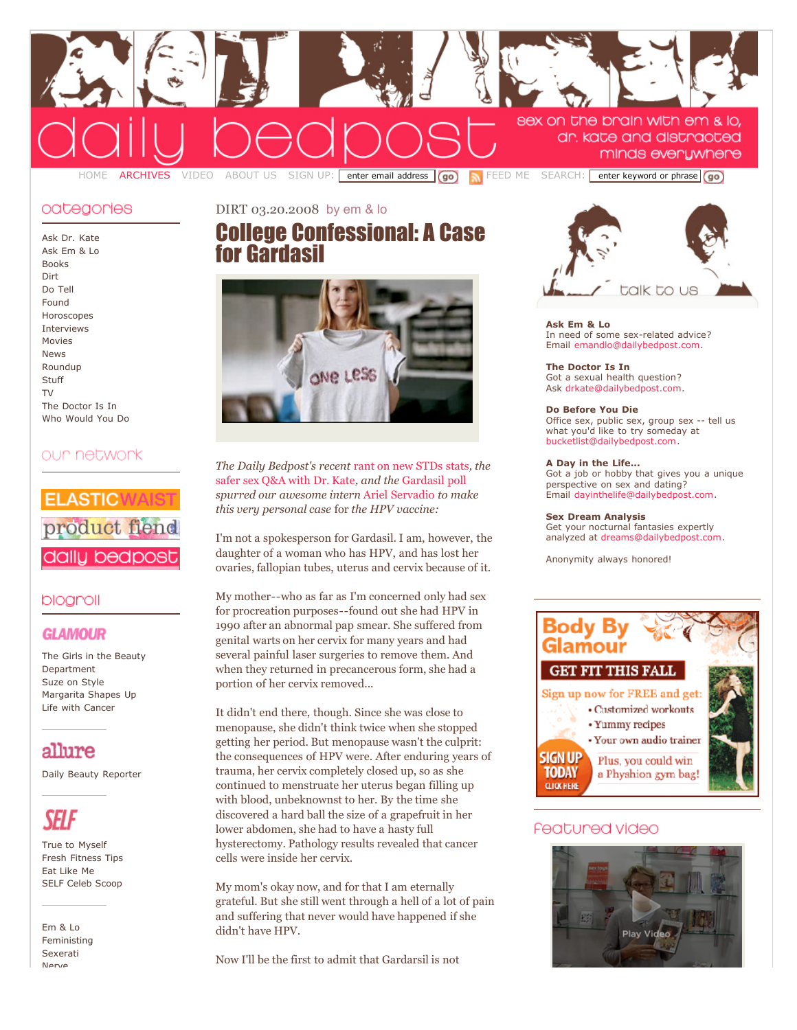

### categonies

Ask Dr. [Kate](http://dailybedpost.com/ask-dr-kate/) Ask Em [& Lo](http://dailybedpost.com/ask-em-lo/) [Books](http://dailybedpost.com/books/) [Dirt](http://dailybedpost.com/dirt/) Do [Tell](http://dailybedpost.com/do-tell/) [Found](http://dailybedpost.com/found/) [Horoscopes](http://dailybedpost.com/horoscopes/) [Interviews](http://dailybedpost.com/bedpost-interview/) [Movies](http://dailybedpost.com/movies/) [News](http://dailybedpost.com/news/) [Roundup](http://dailybedpost.com/roundup/) **[Stuff](http://dailybedpost.com/stuff/)**  $T_{\rm V}$ The [Doctor](http://dailybedpost.com/the-doctor-is-in/) Is In Who [Would](http://dailybedpost.com/who-would-you-do/) You Do

# our network



# blogroll

# **GLAMOUR**

The Girls in the Beauty [Department](http://www.glamour.com/fashionbeauty/blogs/insider) Suze on [Style](http://www.glamour.com/fashionbeauty/blogs/suze) [Margarita](http://www.glamour.com/bbg/blogs/2007) Shapes Up Life with [Cancer](http://www.glamour.com/lifestyle/blogs/editor)

# allure

Daily Beauty [Reporter](http://www.allure.com/beauty/blogs/reporter/)



True to [Myself](http://www.self.com/livingwell/blogs/editor/) Fresh [Fitness](http://www.self.com/fitness/blogs/fitinfitness) Tips Eat [Like](http://www.self.com/health/blogs/eatlikeme) Me SELF Celeb [Scoop](http://www.self.com/livingwell/blogs/celebrity)

Em [& Lo](http://emandlo.com/) [Feministing](http://feministing.com/) [Sexerati](http://www.sexerati.com/) [Nerve](http://nerve.com/)

# [DIRT](http://dailybedpost.com/dirt) 03.20.2008 by em & lo College [Confessional:](http://dailybedpost.com/2008/03/college-confessional-a-case-fo.php) A Case for Gardasil



*The Daily Bedpost's recent* rant on new [STDs](http://dailybedpost.com/2008/03/1-in-4-teenage-girls-has-an-st.php) stats*, the* safer sex Q&A with [Dr. Kate](http://dailybedpost.com/2008/03/1-in-4-teenage-girls-has-an-st-2.php)*, and the* [Gardasil](http://dailybedpost.com/2008/03/poll-would-you-gardasil-your-k.php) poll *spurred our awesome intern* Ariel [Servadio](http://www.emandlo.com/about/index.php#Interns) *to make this very personal case* for *the HPV vaccine:*

I'm not a spokesperson for Gardasil. I am, however, the daughter of a woman who has HPV, and has lost her ovaries, fallopian tubes, uterus and cervix because of it.

My mother--who as far as I'm concerned only had sex for procreation purposes--found out she had HPV in 1990 after an abnormal pap smear. She suffered from genital warts on her cervix for many years and had several painful laser surgeries to remove them. And when they returned in precancerous form, she had a portion of her cervix removed...

It didn't end there, though. Since she was close to menopause, she didn't think twice when she stopped getting her period. But menopause wasn't the culprit: the consequences of HPV were. After enduring years of trauma, her cervix completely closed up, so as she continued to menstruate her uterus began filling up with blood, unbeknownst to her. By the time she discovered a hard ball the size of a grapefruit in her lower abdomen, she had to have a hasty full hysterectomy. Pathology results revealed that cancer cells were inside her cervix.

My mom's okay now, and for that I am eternally grateful. But she still went through a hell of a lot of pain and suffering that never would have happened if she didn't have HPV.

Now I'll be the first to admit that Gardarsil is not



**Ask Em & Lo** In need of some sex-related advice? Email [emandlo@dailybedpost.com](mailto:emandlo@dailybedpost.com).

**The Doctor Is In** Got a sexual health question? Ask [drkate@dailybedpost.com.](mailto:drkate@dailybedpost.com)

**Do Before You Die** Office sex, public sex, group sex -- tell us what you'd like to try someday at [bucketlist@dailybedpost.com](mailto:bucketlist@dailybedpost.com).

#### **A Day in the Life...**

Got a job or hobby that gives you a unique perspective on sex and dating? Email [dayinthelife@dailybedpost.com.](mailto:dayinthelife@dailybedpost.com)

#### **Sex Dream Analysis**

Get your nocturnal fantasies expertly analyzed at [dreams@dailybedpost.com.](mailto:dreams@dailybedpost.com)

Anonymity always honored!



# Featured video

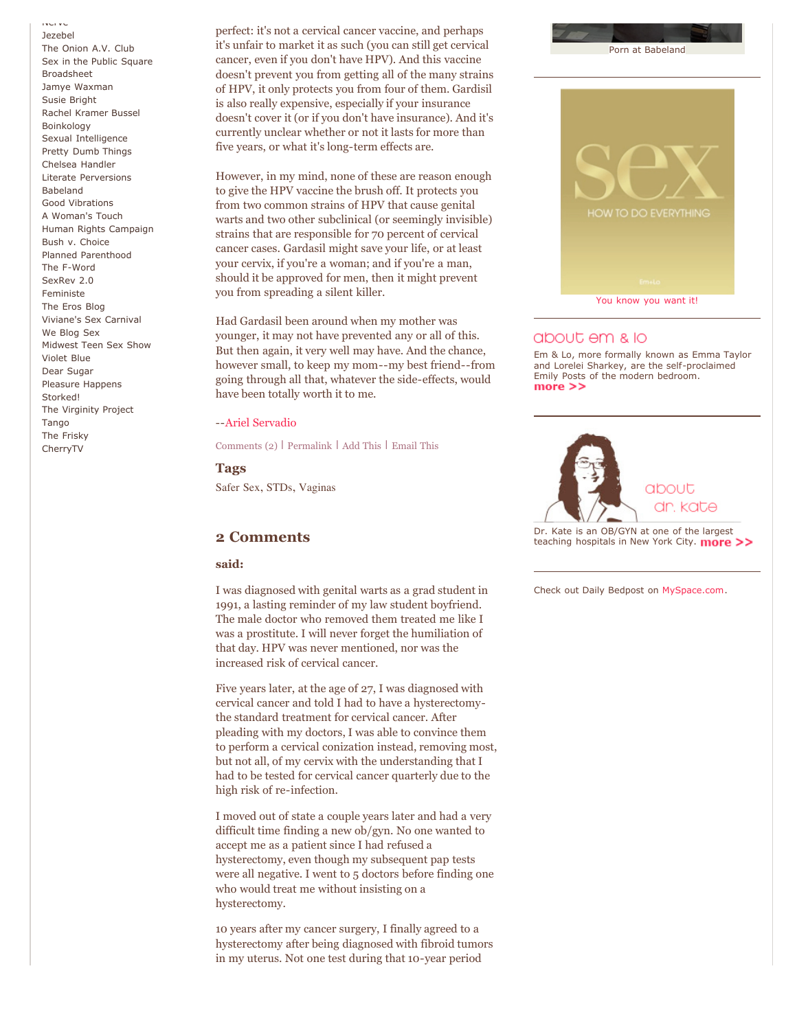[Nerve](http://nerve.com/) [Jezebel](http://www.jezebel.com/)

The [Onion](http://origin.avclub.com/content/) A.V. Club Sex in the Public [Square](http://sexinthepublicsquare.org/) [Broadsheet](http://www.salon.com/mwt/broadsheet/) Jamye [Waxman](http://www.jamyewaxman.com/blog/) Susie [Bright](http://susiebright.blogs.com/) Rachel [Kramer](http://lustylady.blogspot.com/) Bussel [Boinkology](http://www.boinkology.com/) Sexual [Intelligence](http://sexualintelligence.wordpress.com/) Pretty Dumb [Things](http://prettydumbthings.typepad.com/) [Chelsea](http://www.myspace.com/chelseahandler) Handler Literate [Perversions](http://chrisahall.com/) [Babeland](http://blog.babeland.com/) Good [Vibrations](http://blog.goodvibes.com/) A [Woman's](http://www.a-womans-touch.com/) Touch Human Rights [Campaign](http://www.hrc.org/) Bush v. [Choice](http://www.bushvchoice.com/) Planned [Parenthood](http://www.plannedparenthood.org/) The [F-Word](http://www.thefword.org.uk/blog/) [SexRev](http://www.reginalynn.com/) 2.0 [Feministe](http://www.feministe.us/blog/) The Eros [Blog](http://www.erosblog.com/) [Viviane's](http://www.thesexcarnival.com/) Sex Carnival We [Blog](http://blog.goodvibes.com/) Sex [Midwest](http://midwestteensexshow.com/) Teen Sex Show [Violet](http://www.tinynibbles.com/violetblue.html) Blue Dear [Sugar](http://dearsugar.com/) Pleasure [Happens](http://www.pleasurehappens.com/) [Storked!](http://www.glamour.com/lifestyle/blogs/pregnant) The [Virginity](http://www.virginityproject.typepad.com/) Project **[Tango](http://www.yourtango.com/)** The [Frisky](http://thefrisky.com/) [CherryTV](http://www.cherrytv.com/)

perfect: it's not a cervical cancer vaccine, and perhaps it's unfair to market it as such (you can still get cervical cancer, even if you don't have HPV). And this vaccine doesn't prevent you from getting all of the many strains of HPV, it only protects you from four of them. Gardisil is also really expensive, especially if your insurance doesn't cover it (or if you don't have insurance). And it's currently unclear whether or not it lasts for more than five years, or what it's long-term effects are.

However, in my mind, none of these are reason enough to give the HPV vaccine the brush off. It protects you from two common strains of HPV that cause genital warts and two other subclinical (or seemingly invisible) strains that are responsible for 70 percent of cervical cancer cases. Gardasil might save your life, or at least your cervix, if you're a woman; and if you're a man, should it be approved for men, then it might prevent you from spreading a silent killer.

Had Gardasil been around when my mother was younger, it may not have prevented any or all of this. But then again, it very well may have. And the chance, however small, to keep my mom--my best friend--from going through all that, whatever the side-effects, would have been totally worth it to me.

#### --Ariel [Servadio](http://www.emandlo.com/about/index.php#Interns)

[Comments](http://dailybedpost.com/2008/03/college-confessional-a-case-fo.php#comments) (2) | [Permalink](http://dailybedpost.com/2008/03/college-confessional-a-case-fo.php) | Add [This](http://www.addthis.com/bookmark.php) | [Email](http://www.feedburner.com/fb/a/emailFlare?itemTitle=College%20Confessional:%20A%20Case%20for%20Gardasil&uri=http://dailybedpost.com/2008/03/college-confessional-a-case-fo.php) This

#### **Tags**

[Safer](http://cnpblogs.com/cgi-bin/mt/mt-search.cgi?tag=Safer%20Sex&IncludeBlogs=2) Sex, [STDs,](http://cnpblogs.com/cgi-bin/mt/mt-search.cgi?tag=STDs&IncludeBlogs=2) [Vaginas](http://cnpblogs.com/cgi-bin/mt/mt-search.cgi?tag=Vaginas&IncludeBlogs=2)

### **2 Comments**

#### **said:**

I was diagnosed with genital warts as a grad student in 1991, a lasting reminder of my law student boyfriend. The male doctor who removed them treated me like I was a prostitute. I will never forget the humiliation of that day. HPV was never mentioned, nor was the increased risk of cervical cancer.

Five years later, at the age of 27, I was diagnosed with cervical cancer and told I had to have a hysterectomythe standard treatment for cervical cancer. After pleading with my doctors, I was able to convince them to perform a cervical conization instead, removing most, but not all, of my cervix with the understanding that I had to be tested for cervical cancer quarterly due to the high risk of re-infection.

I moved out of state a couple years later and had a very difficult time finding a new ob/gyn. No one wanted to accept me as a patient since I had refused a hysterectomy, even though my subsequent pap tests were all negative. I went to 5 doctors before finding one who would treat me without insisting on a hysterectomy.

10 years after my cancer surgery, I finally agreed to a hysterectomy after being diagnosed with fibroid tumors in my uterus. Not one test during that 10-year period



### about em & lo

Em & Lo, more formally known as Emma Taylor and Lorelei Sharkey, are the self-proclaimed Emily Posts of the modern bedroom.  $more$   $>>$ 



Dr. Kate is an OB/GYN at one of the [largest](http://dailybedpost.com/about_us.html) teaching hospitals in New York City. more >>

Check out Daily Bedpost on [MySpace.com.](http://myspace.com/dailybedpost)